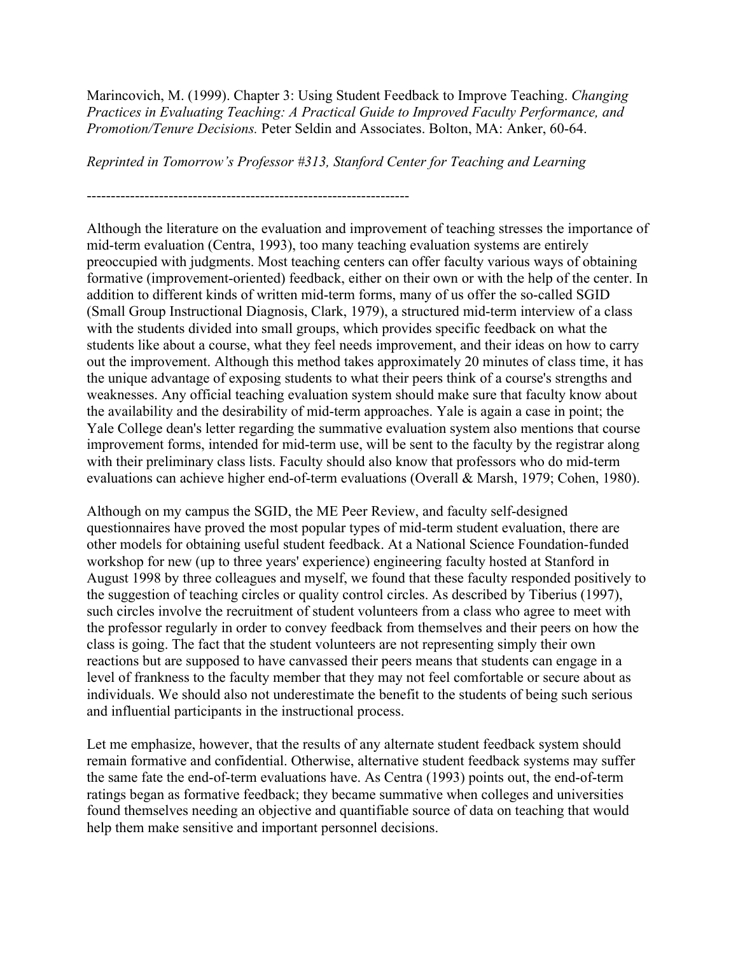Marincovich, M. (1999). Chapter 3: Using Student Feedback to Improve Teaching. *Changing Practices in Evaluating Teaching: A Practical Guide to Improved Faculty Performance, and Promotion/Tenure Decisions.* Peter Seldin and Associates. Bolton, MA: Anker, 60-64.

*Reprinted in Tomorrow's Professor #313, Stanford Center for Teaching and Learning*

-------------------------------------------------------------------

Although the literature on the evaluation and improvement of teaching stresses the importance of mid-term evaluation (Centra, 1993), too many teaching evaluation systems are entirely preoccupied with judgments. Most teaching centers can offer faculty various ways of obtaining formative (improvement-oriented) feedback, either on their own or with the help of the center. In addition to different kinds of written mid-term forms, many of us offer the so-called SGID (Small Group Instructional Diagnosis, Clark, 1979), a structured mid-term interview of a class with the students divided into small groups, which provides specific feedback on what the students like about a course, what they feel needs improvement, and their ideas on how to carry out the improvement. Although this method takes approximately 20 minutes of class time, it has the unique advantage of exposing students to what their peers think of a course's strengths and weaknesses. Any official teaching evaluation system should make sure that faculty know about the availability and the desirability of mid-term approaches. Yale is again a case in point; the Yale College dean's letter regarding the summative evaluation system also mentions that course improvement forms, intended for mid-term use, will be sent to the faculty by the registrar along with their preliminary class lists. Faculty should also know that professors who do mid-term evaluations can achieve higher end-of-term evaluations (Overall & Marsh, 1979; Cohen, 1980).

Although on my campus the SGID, the ME Peer Review, and faculty self-designed questionnaires have proved the most popular types of mid-term student evaluation, there are other models for obtaining useful student feedback. At a National Science Foundation-funded workshop for new (up to three years' experience) engineering faculty hosted at Stanford in August 1998 by three colleagues and myself, we found that these faculty responded positively to the suggestion of teaching circles or quality control circles. As described by Tiberius (1997), such circles involve the recruitment of student volunteers from a class who agree to meet with the professor regularly in order to convey feedback from themselves and their peers on how the class is going. The fact that the student volunteers are not representing simply their own reactions but are supposed to have canvassed their peers means that students can engage in a level of frankness to the faculty member that they may not feel comfortable or secure about as individuals. We should also not underestimate the benefit to the students of being such serious and influential participants in the instructional process.

Let me emphasize, however, that the results of any alternate student feedback system should remain formative and confidential. Otherwise, alternative student feedback systems may suffer the same fate the end-of-term evaluations have. As Centra (1993) points out, the end-of-term ratings began as formative feedback; they became summative when colleges and universities found themselves needing an objective and quantifiable source of data on teaching that would help them make sensitive and important personnel decisions.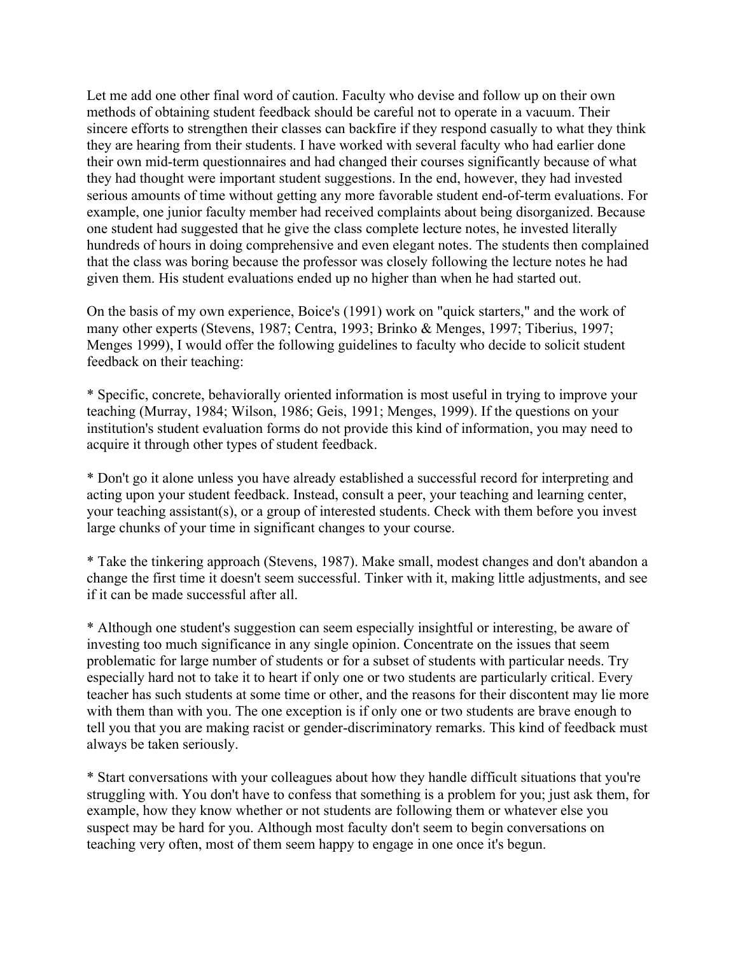Let me add one other final word of caution. Faculty who devise and follow up on their own methods of obtaining student feedback should be careful not to operate in a vacuum. Their sincere efforts to strengthen their classes can backfire if they respond casually to what they think they are hearing from their students. I have worked with several faculty who had earlier done their own mid-term questionnaires and had changed their courses significantly because of what they had thought were important student suggestions. In the end, however, they had invested serious amounts of time without getting any more favorable student end-of-term evaluations. For example, one junior faculty member had received complaints about being disorganized. Because one student had suggested that he give the class complete lecture notes, he invested literally hundreds of hours in doing comprehensive and even elegant notes. The students then complained that the class was boring because the professor was closely following the lecture notes he had given them. His student evaluations ended up no higher than when he had started out.

On the basis of my own experience, Boice's (1991) work on "quick starters," and the work of many other experts (Stevens, 1987; Centra, 1993; Brinko & Menges, 1997; Tiberius, 1997; Menges 1999), I would offer the following guidelines to faculty who decide to solicit student feedback on their teaching:

\* Specific, concrete, behaviorally oriented information is most useful in trying to improve your teaching (Murray, 1984; Wilson, 1986; Geis, 1991; Menges, 1999). If the questions on your institution's student evaluation forms do not provide this kind of information, you may need to acquire it through other types of student feedback.

\* Don't go it alone unless you have already established a successful record for interpreting and acting upon your student feedback. Instead, consult a peer, your teaching and learning center, your teaching assistant(s), or a group of interested students. Check with them before you invest large chunks of your time in significant changes to your course.

\* Take the tinkering approach (Stevens, 1987). Make small, modest changes and don't abandon a change the first time it doesn't seem successful. Tinker with it, making little adjustments, and see if it can be made successful after all.

\* Although one student's suggestion can seem especially insightful or interesting, be aware of investing too much significance in any single opinion. Concentrate on the issues that seem problematic for large number of students or for a subset of students with particular needs. Try especially hard not to take it to heart if only one or two students are particularly critical. Every teacher has such students at some time or other, and the reasons for their discontent may lie more with them than with you. The one exception is if only one or two students are brave enough to tell you that you are making racist or gender-discriminatory remarks. This kind of feedback must always be taken seriously.

\* Start conversations with your colleagues about how they handle difficult situations that you're struggling with. You don't have to confess that something is a problem for you; just ask them, for example, how they know whether or not students are following them or whatever else you suspect may be hard for you. Although most faculty don't seem to begin conversations on teaching very often, most of them seem happy to engage in one once it's begun.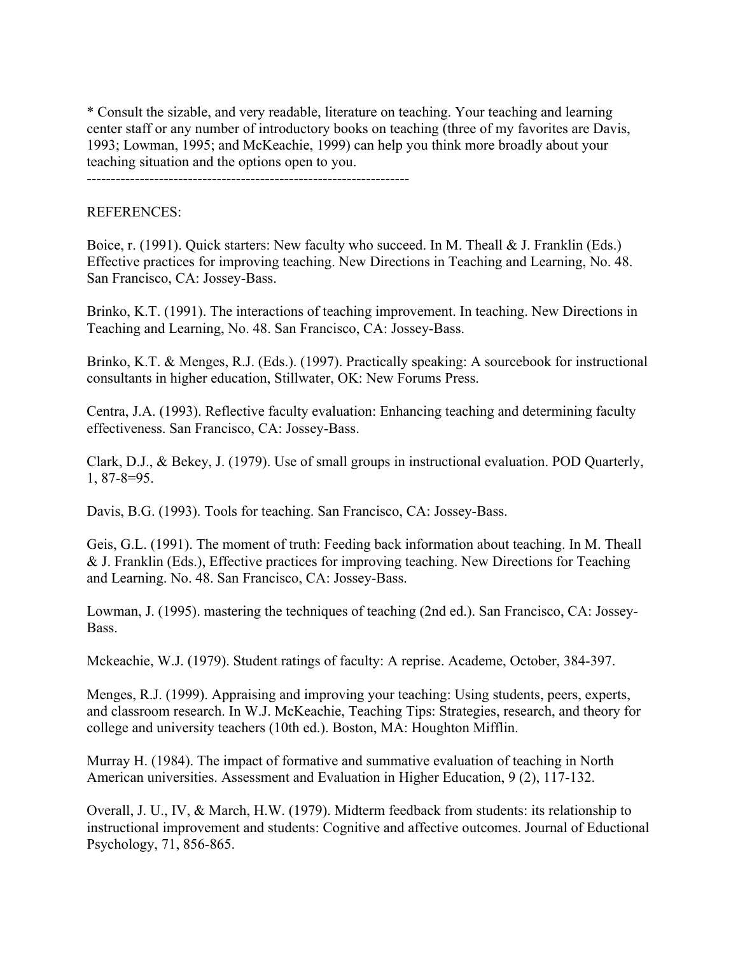\* Consult the sizable, and very readable, literature on teaching. Your teaching and learning center staff or any number of introductory books on teaching (three of my favorites are Davis, 1993; Lowman, 1995; and McKeachie, 1999) can help you think more broadly about your teaching situation and the options open to you.

-------------------------------------------------------------------

## REFERENCES:

Boice, r. (1991). Quick starters: New faculty who succeed. In M. Theall & J. Franklin (Eds.) Effective practices for improving teaching. New Directions in Teaching and Learning, No. 48. San Francisco, CA: Jossey-Bass.

Brinko, K.T. (1991). The interactions of teaching improvement. In teaching. New Directions in Teaching and Learning, No. 48. San Francisco, CA: Jossey-Bass.

Brinko, K.T. & Menges, R.J. (Eds.). (1997). Practically speaking: A sourcebook for instructional consultants in higher education, Stillwater, OK: New Forums Press.

Centra, J.A. (1993). Reflective faculty evaluation: Enhancing teaching and determining faculty effectiveness. San Francisco, CA: Jossey-Bass.

Clark, D.J., & Bekey, J. (1979). Use of small groups in instructional evaluation. POD Quarterly, 1, 87-8=95.

Davis, B.G. (1993). Tools for teaching. San Francisco, CA: Jossey-Bass.

Geis, G.L. (1991). The moment of truth: Feeding back information about teaching. In M. Theall & J. Franklin (Eds.), Effective practices for improving teaching. New Directions for Teaching and Learning. No. 48. San Francisco, CA: Jossey-Bass.

Lowman, J. (1995). mastering the techniques of teaching (2nd ed.). San Francisco, CA: Jossey-Bass.

Mckeachie, W.J. (1979). Student ratings of faculty: A reprise. Academe, October, 384-397.

Menges, R.J. (1999). Appraising and improving your teaching: Using students, peers, experts, and classroom research. In W.J. McKeachie, Teaching Tips: Strategies, research, and theory for college and university teachers (10th ed.). Boston, MA: Houghton Mifflin.

Murray H. (1984). The impact of formative and summative evaluation of teaching in North American universities. Assessment and Evaluation in Higher Education, 9 (2), 117-132.

Overall, J. U., IV, & March, H.W. (1979). Midterm feedback from students: its relationship to instructional improvement and students: Cognitive and affective outcomes. Journal of Eductional Psychology, 71, 856-865.